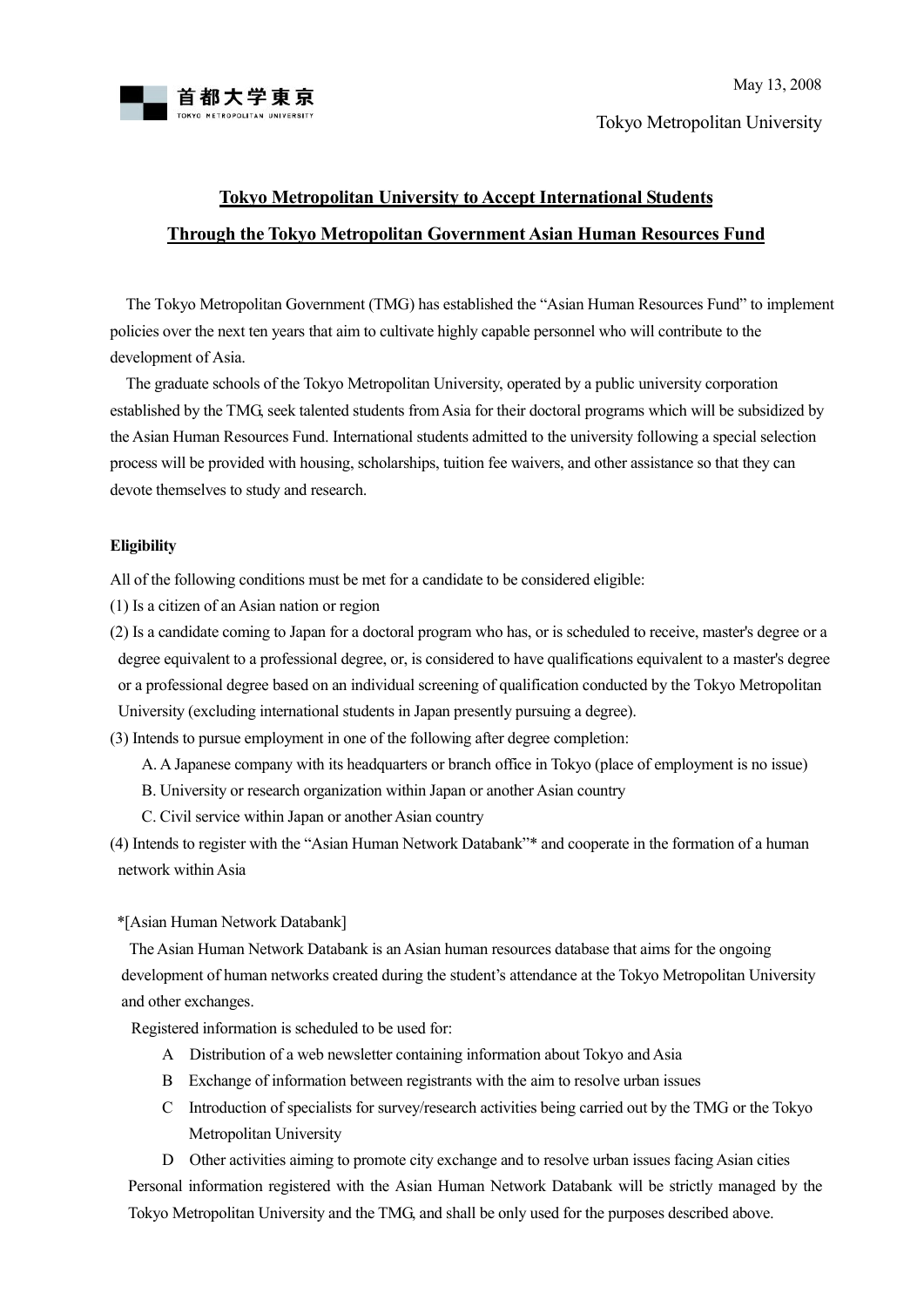

## **Tokyo Metropolitan University to Accept International Students Through the Tokyo Metropolitan Government Asian Human Resources Fund**

The Tokyo Metropolitan Government (TMG) has established the "Asian Human Resources Fund" to implement policies over the next ten years that aim to cultivate highly capable personnel who will contribute to the development of Asia.

The graduate schools of the Tokyo Metropolitan University, operated by a public university corporation established by the TMG, seek talented students from Asia for their doctoral programs which will be subsidized by the Asian Human Resources Fund. International students admitted to the university following a special selection process will be provided with housing, scholarships, tuition fee waivers, and other assistance so that they can devote themselves to study and research.

## **Eligibility**

All of the following conditions must be met for a candidate to be considered eligible:

- (1) Is a citizen of an Asian nation or region
- (2) Is a candidate coming to Japan for a doctoral program who has, or is scheduled to receive, master's degree or a degree equivalent to a professional degree, or, is considered to have qualifications equivalent to a master's degree or a professional degree based on an individual screening of qualification conducted by the Tokyo Metropolitan University (excluding international students in Japan presently pursuing a degree).

(3) Intends to pursue employment in one of the following after degree completion:

- A. A Japanese company with its headquarters or branch office in Tokyo (place of employment is no issue)
- B. University or research organization within Japan or another Asian country
- C. Civil service within Japan or another Asian country
- (4) Intends to register with the "Asian Human Network Databank"\* and cooperate in the formation of a human network within Asia

\*[Asian Human Network Databank]

 The Asian Human Network Databank is an Asian human resources database that aims for the ongoing development of human networks created during the student's attendance at the Tokyo Metropolitan University and other exchanges.

Registered information is scheduled to be used for:

- A Distribution of a web newsletter containing information about Tokyo and Asia
- B Exchange of information between registrants with the aim to resolve urban issues
- C Introduction of specialists for survey/research activities being carried out by the TMG or the Tokyo Metropolitan University

 D Other activities aiming to promote city exchange and to resolve urban issues facing Asian cities Personal information registered with the Asian Human Network Databank will be strictly managed by the Tokyo Metropolitan University and the TMG, and shall be only used for the purposes described above.